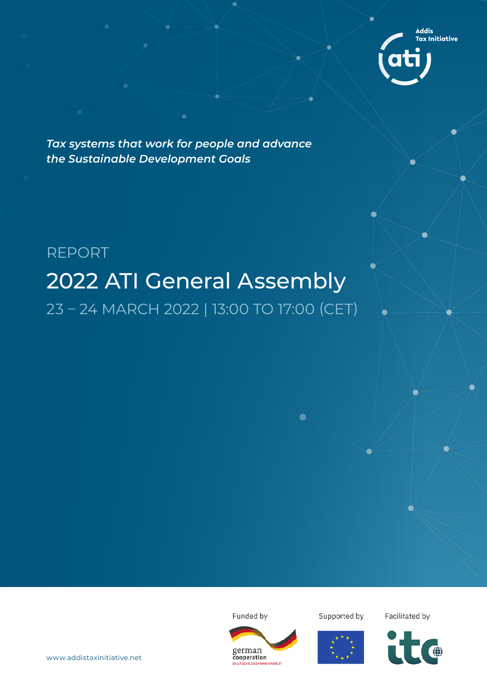

*Tax systems that work for people and advance the Sustainable Development Goals*

# REPORT 2022 ATI General Assembly 23 – 24 MARCH 2022 | 13:00 TO 17:00 (CET)

Funded by



Supported by

Facilitated by

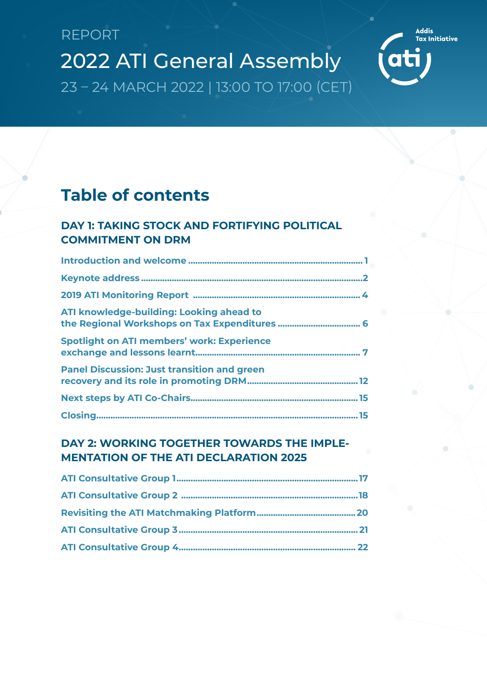Addis<br>Tax Initiative

**ati** 

### **Table of contents**

### DAY 1: TAKING STOCK AND FORTIFYING POLITICAL **COMMITMENT ON DRM**

| ATI knowledge-building: Looking ahead to           |  |
|----------------------------------------------------|--|
| <b>Spotlight on ATI members' work: Experience</b>  |  |
| <b>Panel Discussion: Just transition and green</b> |  |
|                                                    |  |
|                                                    |  |

### DAY 2: WORKING TOGETHER TOWARDS THE IMPLE-**MENTATION OF THE ATI DECLARATION 2025**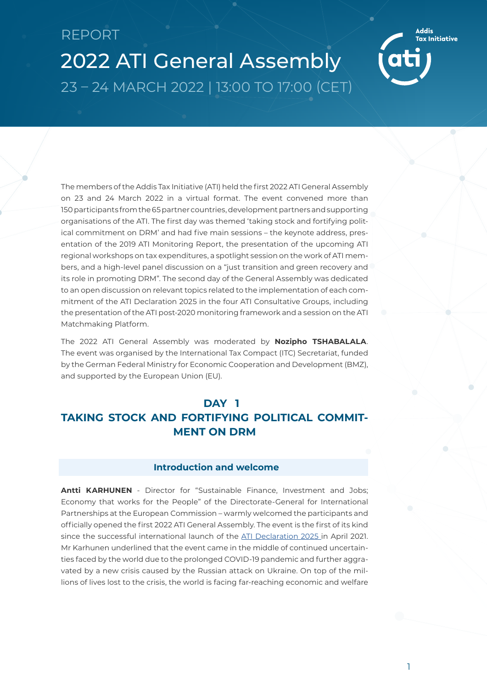<span id="page-2-0"></span>2022 ATI General Assembly 23 – 24 MARCH 2022 | 13:00 TO 17:00 (CET)

The members of the Addis Tax Initiative (ATI) held the first 2022 ATI General Assembly on 23 and 24 March 2022 in a virtual format. The event convened more than 150 participants from the 65 partner countries, development partners and supporting organisations of the ATI. The first day was themed 'taking stock and fortifying political commitment on DRM' and had five main sessions – the keynote address, presentation of the 2019 ATI Monitoring Report, the presentation of the upcoming ATI regional workshops on tax expenditures, a spotlight session on the work of ATI members, and a high-level panel discussion on a "just transition and green recovery and its role in promoting DRM". The second day of the General Assembly was dedicated to an open discussion on relevant topics related to the implementation of each commitment of the ATI Declaration 2025 in the four ATI Consultative Groups, including the presentation of the ATI post-2020 monitoring framework and a session on the ATI Matchmaking Platform.

The 2022 ATI General Assembly was moderated by **Nozipho TSHABALALA**. The event was organised by the International Tax Compact (ITC) Secretariat, funded by the German Federal Ministry for Economic Cooperation and Development (BMZ), and supported by the European Union (EU).

### **DAY 1**

### **TAKING STOCK AND FORTIFYING POLITICAL COMMIT-MENT ON DRM**

### **Introduction and welcome**

**Antti KARHUNEN** - Director for "Sustainable Finance, Investment and Jobs; Economy that works for the People" of the Directorate-General for International Partnerships at the European Commission – warmly welcomed the participants and officially opened the first 2022 ATI General Assembly. The event is the first of its kind since the successful international launch of the [ATI Declaration 2025](https://www.addistaxinitiative.net/resource/ati-declaration-2025) in April 2021. Mr Karhunen underlined that the event came in the middle of continued uncertainties faced by the world due to the prolonged COVID-19 pandemic and further aggravated by a new crisis caused by the Russian attack on Ukraine. On top of the millions of lives lost to the crisis, the world is facing far-reaching economic and welfare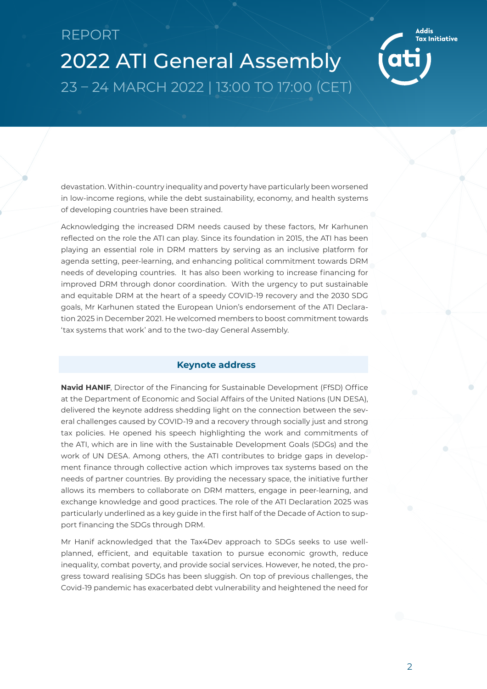

<span id="page-3-0"></span>devastation. Within-country inequality and poverty have particularly been worsened in low-income regions, while the debt sustainability, economy, and health systems of developing countries have been strained.

Acknowledging the increased DRM needs caused by these factors, Mr Karhunen reflected on the role the ATI can play. Since its foundation in 2015, the ATI has been playing an essential role in DRM matters by serving as an inclusive platform for agenda setting, peer-learning, and enhancing political commitment towards DRM needs of developing countries. It has also been working to increase financing for improved DRM through donor coordination. With the urgency to put sustainable and equitable DRM at the heart of a speedy COVID-19 recovery and the 2030 SDG goals, Mr Karhunen stated the European Union's endorsement of the ATI Declaration 2025 in December 2021. He welcomed members to boost commitment towards 'tax systems that work' and to the two-day General Assembly.

#### **Keynote address**

**Navid HANIF**, Director of the Financing for Sustainable Development (FfSD) Office at the Department of Economic and Social Affairs of the United Nations (UN DESA), delivered the keynote address shedding light on the connection between the several challenges caused by COVID-19 and a recovery through socially just and strong tax policies. He opened his speech highlighting the work and commitments of the ATI, which are in line with the Sustainable Development Goals (SDGs) and the work of UN DESA. Among others, the ATI contributes to bridge gaps in development finance through collective action which improves tax systems based on the needs of partner countries. By providing the necessary space, the initiative further allows its members to collaborate on DRM matters, engage in peer-learning, and exchange knowledge and good practices. The role of the ATI Declaration 2025 was particularly underlined as a key guide in the first half of the Decade of Action to support financing the SDGs through DRM.

Mr Hanif acknowledged that the Tax4Dev approach to SDGs seeks to use wellplanned, efficient, and equitable taxation to pursue economic growth, reduce inequality, combat poverty, and provide social services. However, he noted, the progress toward realising SDGs has been sluggish. On top of previous challenges, the Covid-19 pandemic has exacerbated debt vulnerability and heightened the need for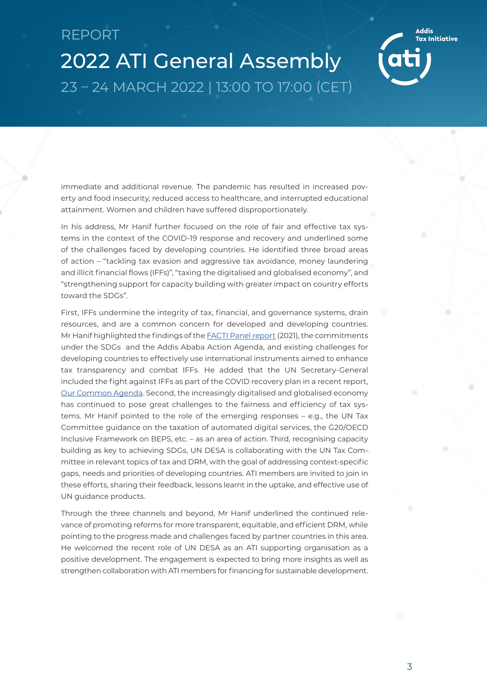2022 ATI General Assembly 23 – 24 MARCH 2022 | 13:00 TO 17:00 (CET)

immediate and additional revenue. The pandemic has resulted in increased poverty and food insecurity, reduced access to healthcare, and interrupted educational attainment. Women and children have suffered disproportionately.

In his address, Mr Hanif further focused on the role of fair and effective tax systems in the context of the COVID-19 response and recovery and underlined some of the challenges faced by developing countries. He identified three broad areas of action – "tackling tax evasion and aggressive tax avoidance, money laundering and illicit financial flows (IFFs)", "taxing the digitalised and globalised economy", and "strengthening support for capacity building with greater impact on country efforts toward the SDGs".

First, IFFs undermine the integrity of tax, financial, and governance systems, drain resources, and are a common concern for developed and developing countries. Mr Hanif highlighted the findings of the [FACTI Panel report](https://uploads-ssl.webflow.com/5e0bd9edab846816e263d633/602e91032a209d0601ed4a2c_FACTI_Panel_Report.pdf) (2021), the commitments under the SDGs and the Addis Ababa Action Agenda, and existing challenges for developing countries to effectively use international instruments aimed to enhance tax transparency and combat IFFs. He added that the UN Secretary-General included the fight against IFFs as part of the COVID recovery plan in a recent report, [Our Common Agenda.](https://www.un.org/en/content/common-agenda-report/) Second, the increasingly digitalised and globalised economy has continued to pose great challenges to the fairness and efficiency of tax systems. Mr Hanif pointed to the role of the emerging responses – e.g., the UN Tax Committee guidance on the taxation of automated digital services, the G20/OECD Inclusive Framework on BEPS, etc. – as an area of action. Third, recognising capacity building as key to achieving SDGs, UN DESA is collaborating with the UN Tax Committee in relevant topics of tax and DRM, with the goal of addressing context-specific gaps, needs and priorities of developing countries. ATI members are invited to join in these efforts, sharing their feedback, lessons learnt in the uptake, and effective use of UN guidance products.

Through the three channels and beyond, Mr Hanif underlined the continued relevance of promoting reforms for more transparent, equitable, and efficient DRM, while pointing to the progress made and challenges faced by partner countries in this area. He welcomed the recent role of UN DESA as an ATI supporting organisation as a positive development. The engagement is expected to bring more insights as well as strengthen collaboration with ATI members for financing for sustainable development.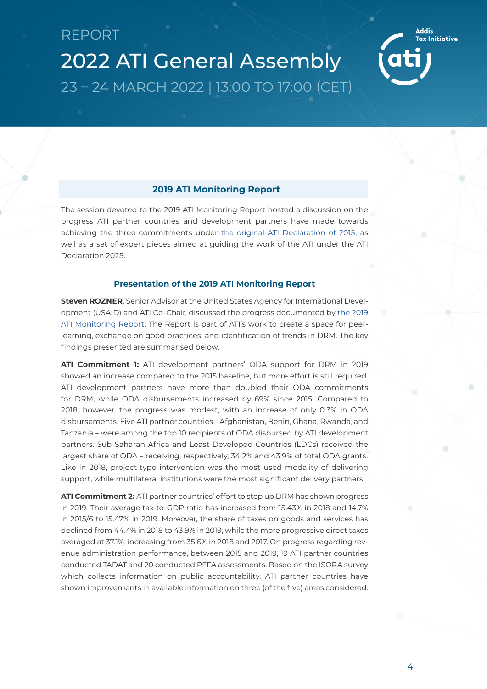

<span id="page-5-0"></span>The session devoted to the 2019 ATI Monitoring Report hosted a discussion on the progress ATI partner countries and development partners have made towards achieving the three commitments under [the original ATI Declaration of 2015,](https://www.addistaxinitiative.net/sites/default/files/resources/ATI-Declaration-EN.pdf) as well as a set of expert pieces aimed at guiding the work of the ATI under the ATI Declaration 2025.

#### **Presentation of the 2019 ATI Monitoring Report**

**Steven ROZNER**, Senior Advisor at the United States Agency for International Development (USAID) and ATI Co-Chair, discussed the progress documented by [the 2019](https://www.addistaxinitiative.net/resource/2019-ati-monitoring-report) [ATI Monitoring Report.](https://www.addistaxinitiative.net/resource/2019-ati-monitoring-report) The Report is part of ATI's work to create a space for peerlearning, exchange on good practices, and identification of trends in DRM. The key findings presented are summarised below.

**ATI Commitment 1:** ATI development partners' ODA support for DRM in 2019 showed an increase compared to the 2015 baseline, but more effort is still required. ATI development partners have more than doubled their ODA commitments for DRM, while ODA disbursements increased by 69% since 2015. Compared to 2018, however, the progress was modest, with an increase of only 0.3% in ODA disbursements. Five ATI partner countries – Afghanistan, Benin, Ghana, Rwanda, and Tanzania – were among the top 10 recipients of ODA disbursed by ATI development partners. Sub-Saharan Africa and Least Developed Countries (LDCs) received the largest share of ODA – receiving, respectively, 34.2% and 43.9% of total ODA grants. Like in 2018, project-type intervention was the most used modality of delivering support, while multilateral institutions were the most significant delivery partners.

**ATI Commitment 2:** ATI partner countries' effort to step up DRM has shown progress in 2019. Their average tax-to-GDP ratio has increased from 15.43% in 2018 and 14.7% in 2015/6 to 15.47% in 2019. Moreover, the share of taxes on goods and services has declined from 44.4% in 2018 to 43.9% in 2019, while the more progressive direct taxes averaged at 37.1%, increasing from 35.6% in 2018 and 2017. On progress regarding revenue administration performance, between 2015 and 2019, 19 ATI partner countries conducted TADAT and 20 conducted PEFA assessments. Based on the ISORA survey which collects information on public accountability, ATI partner countries have shown improvements in available information on three (of the five) areas considered.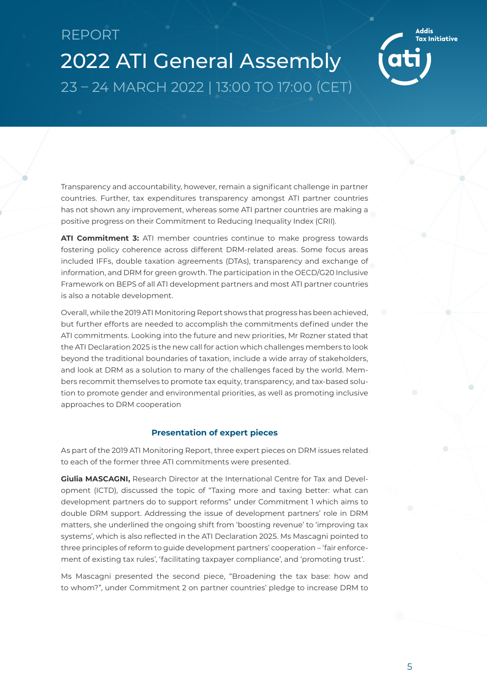2022 ATI General Assembly 23 – 24 MARCH 2022 | 13:00 TO 17:00 (CET)

Transparency and accountability, however, remain a significant challenge in partner countries. Further, tax expenditures transparency amongst ATI partner countries has not shown any improvement, whereas some ATI partner countries are making a positive progress on their Commitment to Reducing Inequality Index (CRII).

**ATI Commitment 3:** ATI member countries continue to make progress towards fostering policy coherence across different DRM-related areas. Some focus areas included IFFs, double taxation agreements (DTAs), transparency and exchange of information, and DRM for green growth. The participation in the OECD/G20 Inclusive Framework on BEPS of all ATI development partners and most ATI partner countries is also a notable development.

Overall, while the 2019 ATI Monitoring Report shows that progress has been achieved, but further efforts are needed to accomplish the commitments defined under the ATI commitments. Looking into the future and new priorities, Mr Rozner stated that the ATI Declaration 2025 is the new call for action which challenges members to look beyond the traditional boundaries of taxation, include a wide array of stakeholders, and look at DRM as a solution to many of the challenges faced by the world. Members recommit themselves to promote tax equity, transparency, and tax-based solution to promote gender and environmental priorities, as well as promoting inclusive approaches to DRM cooperation

#### **Presentation of expert pieces**

As part of the 2019 ATI Monitoring Report, three expert pieces on DRM issues related to each of the former three ATI commitments were presented.

**Giulia MASCAGNI,** Research Director at the International Centre for Tax and Development (ICTD), discussed the topic of "Taxing more and taxing better: what can development partners do to support reforms" under Commitment 1 which aims to double DRM support. Addressing the issue of development partners' role in DRM matters, she underlined the ongoing shift from 'boosting revenue' to 'improving tax systems', which is also reflected in the ATI Declaration 2025. Ms Mascagni pointed to three principles of reform to guide development partners' cooperation – 'fair enforcement of existing tax rules', 'facilitating taxpayer compliance', and 'promoting trust'.

Ms Mascagni presented the second piece, "Broadening the tax base: how and to whom?", under Commitment 2 on partner countries' pledge to increase DRM to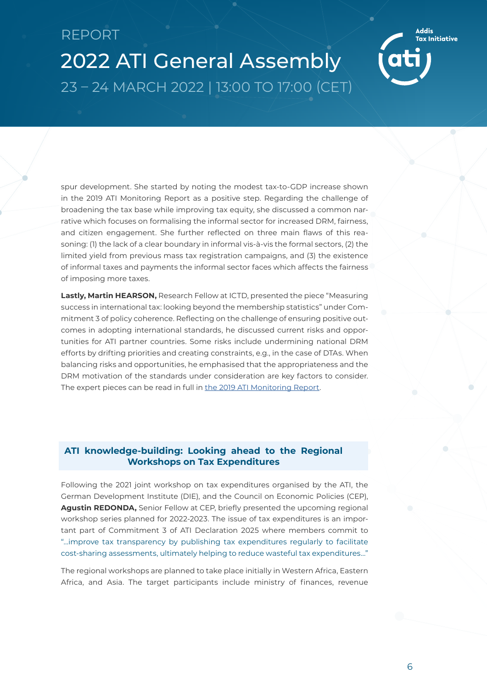<span id="page-7-0"></span>2022 ATI General Assembly 23 – 24 MARCH 2022 | 13:00 TO 17:00 (CET)

spur development. She started by noting the modest tax-to-GDP increase shown in the 2019 ATI Monitoring Report as a positive step. Regarding the challenge of broadening the tax base while improving tax equity, she discussed a common narrative which focuses on formalising the informal sector for increased DRM, fairness, and citizen engagement. She further reflected on three main flaws of this reasoning: (1) the lack of a clear boundary in informal vis-à-vis the formal sectors, (2) the limited yield from previous mass tax registration campaigns, and (3) the existence of informal taxes and payments the informal sector faces which affects the fairness of imposing more taxes.

**Lastly, Martin HEARSON,** Research Fellow at ICTD, presented the piece "Measuring success in international tax: looking beyond the membership statistics" under Commitment 3 of policy coherence. Reflecting on the challenge of ensuring positive outcomes in adopting international standards, he discussed current risks and opportunities for ATI partner countries. Some risks include undermining national DRM efforts by drifting priorities and creating constraints, e.g., in the case of DTAs. When balancing risks and opportunities, he emphasised that the appropriateness and the DRM motivation of the standards under consideration are key factors to consider. The expert pieces can be read in full in [the 2019 ATI Monitoring Report](https://www.addistaxinitiative.net/resource/2019-ati-monitoring-report).

### **ATI knowledge-building: Looking ahead to the Regional Workshops on Tax Expenditures**

Following the 2021 joint workshop on tax expenditures organised by the ATI, the German Development Institute (DIE), and the Council on Economic Policies (CEP), **Agustin REDONDA,** Senior Fellow at CEP, briefly presented the upcoming regional workshop series planned for 2022-2023. The issue of tax expenditures is an important part of Commitment 3 of ATI Declaration 2025 where members commit to "…improve tax transparency by publishing tax expenditures regularly to facilitate cost-sharing assessments, ultimately helping to reduce wasteful tax expenditures…"

The regional workshops are planned to take place initially in Western Africa, Eastern Africa, and Asia. The target participants include ministry of finances, revenue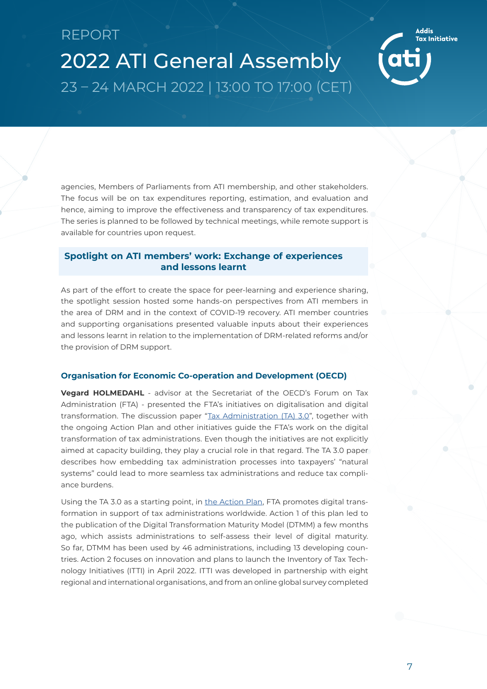<span id="page-8-0"></span>agencies, Members of Parliaments from ATI membership, and other stakeholders. The focus will be on tax expenditures reporting, estimation, and evaluation and hence, aiming to improve the effectiveness and transparency of tax expenditures. The series is planned to be followed by technical meetings, while remote support is available for countries upon request.

### **Spotlight on ATI members' work: Exchange of experiences and lessons learnt**

As part of the effort to create the space for peer-learning and experience sharing, the spotlight session hosted some hands-on perspectives from ATI members in the area of DRM and in the context of COVID-19 recovery. ATI member countries and supporting organisations presented valuable inputs about their experiences and lessons learnt in relation to the implementation of DRM-related reforms and/or the provision of DRM support.

#### **Organisation for Economic Co-operation and Development (OECD)**

**Vegard HOLMEDAHL** - advisor at the Secretariat of the OECD's Forum on Tax Administration (FTA) - presented the FTA's initiatives on digitalisation and digital transformation. The discussion paper "[Tax Administration \(TA\) 3.0](https://www.oecd.org/tax/forum-on-tax-administration/publications-and-products/tax-administration-3-0-the-digital-transformation-of-tax-administration.pdf)", together with the ongoing Action Plan and other initiatives guide the FTA's work on the digital transformation of tax administrations. Even though the initiatives are not explicitly aimed at capacity building, they play a crucial role in that regard. The TA 3.0 paper describes how embedding tax administration processes into taxpayers' "natural systems" could lead to more seamless tax administrations and reduce tax compliance burdens.

Using the TA 3.0 as a starting point, in [the Action Plan](https://www.oecd.org/tax/forum-on-tax-administration/publications-and-products/tax-administration-3-0-action-plan-update.pdf), FTA promotes digital transformation in support of tax administrations worldwide. Action 1 of this plan led to the publication of the Digital Transformation Maturity Model (DTMM) a few months ago, which assists administrations to self-assess their level of digital maturity. So far, DTMM has been used by 46 administrations, including 13 developing countries. Action 2 focuses on innovation and plans to launch the Inventory of Tax Technology Initiatives (ITTI) in April 2022. ITTI was developed in partnership with eight regional and international organisations, and from an online global survey completed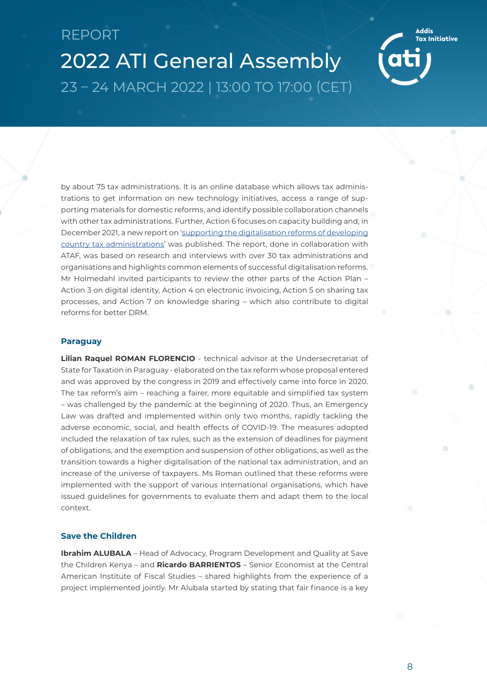2022 ATI General Assembly 23 – 24 MARCH 2022 | 13:00 TO 17:00 (CET)

by about 75 tax administrations. It is an online database which allows tax administrations to get information on new technology initiatives, access a range of supporting materials for domestic reforms, and identify possible collaboration channels with other tax administrations. Further, Action 6 focuses on capacity building and, in December 2021, a new report on ['supporting the digitalisation reforms of developing](https://www.oecd.org/tax/forum-on-tax-administration/publications-and-products/supporting-the-digitalisation-of-developing-country-tax-administrations.htm) [country tax administrations'](https://www.oecd.org/tax/forum-on-tax-administration/publications-and-products/supporting-the-digitalisation-of-developing-country-tax-administrations.htm) was published. The report, done in collaboration with ATAF, was based on research and interviews with over 30 tax administrations and organisations and highlights common elements of successful digitalisation reforms. Mr Holmedahl invited participants to review the other parts of the Action Plan – Action 3 on digital identity, Action 4 on electronic invoicing, Action 5 on sharing tax processes, and Action 7 on knowledge sharing – which also contribute to digital reforms for better DRM.

#### **Paraguay**

**Lilian Raquel ROMAN FLORENCIO** - technical advisor at the Undersecretariat of State for Taxation in Paraguay - elaborated on the tax reform whose proposal entered and was approved by the congress in 2019 and effectively came into force in 2020. The tax reform's aim – reaching a fairer, more equitable and simplified tax system – was challenged by the pandemic at the beginning of 2020. Thus, an Emergency Law was drafted and implemented within only two months, rapidly tackling the adverse economic, social, and health effects of COVID-19. The measures adopted included the relaxation of tax rules, such as the extension of deadlines for payment of obligations, and the exemption and suspension of other obligations, as well as the transition towards a higher digitalisation of the national tax administration, and an increase of the universe of taxpayers. Ms Roman outlined that these reforms were implemented with the support of various international organisations, which have issued guidelines for governments to evaluate them and adapt them to the local context.

#### **Save the Children**

**Ibrahim ALUBALA** – Head of Advocacy, Program Development and Quality at Save the Children Kenya – and **Ricardo BARRIENTOS** – Senior Economist at the Central American Institute of Fiscal Studies – shared highlights from the experience of a project implemented jointly. Mr Alubala started by stating that fair finance is a key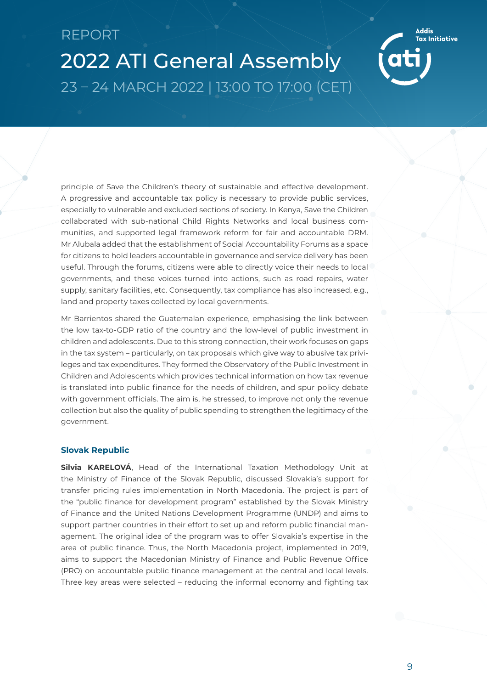2022 ATI General Assembly 23 – 24 MARCH 2022 | 13:00 TO 17:00 (CET)

principle of Save the Children's theory of sustainable and effective development. A progressive and accountable tax policy is necessary to provide public services, especially to vulnerable and excluded sections of society. In Kenya, Save the Children collaborated with sub-national Child Rights Networks and local business communities, and supported legal framework reform for fair and accountable DRM. Mr Alubala added that the establishment of Social Accountability Forums as a space for citizens to hold leaders accountable in governance and service delivery has been useful. Through the forums, citizens were able to directly voice their needs to local governments, and these voices turned into actions, such as road repairs, water supply, sanitary facilities, etc. Consequently, tax compliance has also increased, e.g., land and property taxes collected by local governments.

Mr Barrientos shared the Guatemalan experience, emphasising the link between the low tax-to-GDP ratio of the country and the low-level of public investment in children and adolescents. Due to this strong connection, their work focuses on gaps in the tax system – particularly, on tax proposals which give way to abusive tax privileges and tax expenditures. They formed the Observatory of the Public Investment in Children and Adolescents which provides technical information on how tax revenue is translated into public finance for the needs of children, and spur policy debate with government officials. The aim is, he stressed, to improve not only the revenue collection but also the quality of public spending to strengthen the legitimacy of the government.

#### **Slovak Republic**

**Silvia KARELOVÁ**, Head of the International Taxation Methodology Unit at the Ministry of Finance of the Slovak Republic, discussed Slovakia's support for transfer pricing rules implementation in North Macedonia. The project is part of the "public finance for development program" established by the Slovak Ministry of Finance and the United Nations Development Programme (UNDP) and aims to support partner countries in their effort to set up and reform public financial management. The original idea of the program was to offer Slovakia's expertise in the area of public finance. Thus, the North Macedonia project, implemented in 2019, aims to support the Macedonian Ministry of Finance and Public Revenue Office (PRO) on accountable public finance management at the central and local levels. Three key areas were selected – reducing the informal economy and fighting tax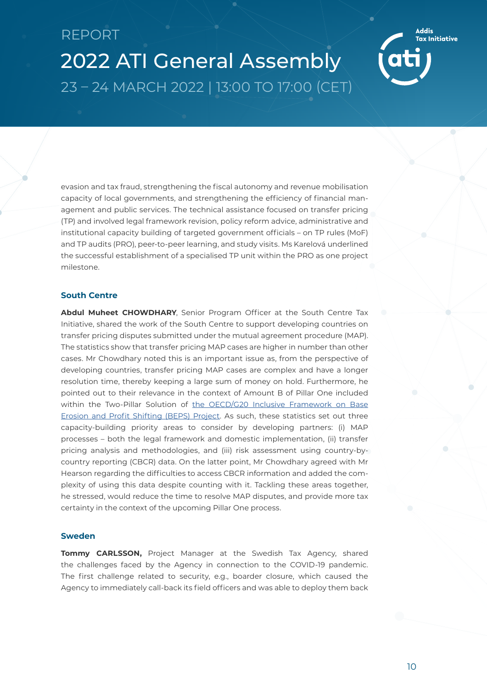2022 ATI General Assembly 23 – 24 MARCH 2022 | 13:00 TO 17:00 (CET)

evasion and tax fraud, strengthening the fiscal autonomy and revenue mobilisation capacity of local governments, and strengthening the efficiency of financial management and public services. The technical assistance focused on transfer pricing (TP) and involved legal framework revision, policy reform advice, administrative and institutional capacity building of targeted government officials – on TP rules (MoF) and TP audits (PRO), peer-to-peer learning, and study visits. Ms Karelová underlined the successful establishment of a specialised TP unit within the PRO as one project milestone.

#### **South Centre**

**Abdul Muheet CHOWDHARY**, Senior Program Officer at the South Centre Tax Initiative, shared the work of the South Centre to support developing countries on transfer pricing disputes submitted under the mutual agreement procedure (MAP). The statistics show that transfer pricing MAP cases are higher in number than other cases. Mr Chowdhary noted this is an important issue as, from the perspective of developing countries, transfer pricing MAP cases are complex and have a longer resolution time, thereby keeping a large sum of money on hold. Furthermore, he pointed out to their relevance in the context of Amount B of Pillar One included within the Two-Pillar Solution of [the OECD/G20 Inclusive Framework on Base](https://www.oecd.org/tax/beps/statement-on-a-two-pillar-solution-to-address-the-tax-challenges-arising-from-the-digitalisation-of-the-economy-october-2021.pdf) [Erosion and Profit Shifting \(BEPS\) Project.](https://www.oecd.org/tax/beps/statement-on-a-two-pillar-solution-to-address-the-tax-challenges-arising-from-the-digitalisation-of-the-economy-october-2021.pdf) As such, these statistics set out three capacity-building priority areas to consider by developing partners: (i) MAP processes – both the legal framework and domestic implementation, (ii) transfer pricing analysis and methodologies, and (iii) risk assessment using country-bycountry reporting (CBCR) data. On the latter point, Mr Chowdhary agreed with Mr Hearson regarding the difficulties to access CBCR information and added the complexity of using this data despite counting with it. Tackling these areas together, he stressed, would reduce the time to resolve MAP disputes, and provide more tax certainty in the context of the upcoming Pillar One process.

#### **Sweden**

**Tommy CARLSSON.** Project Manager at the Swedish Tax Agency, shared the challenges faced by the Agency in connection to the COVID-19 pandemic. The first challenge related to security, e.g., boarder closure, which caused the Agency to immediately call-back its field officers and was able to deploy them back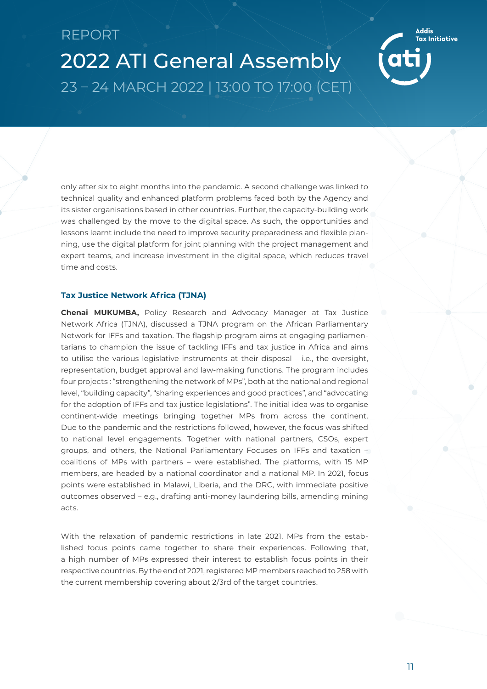2022 ATI General Assembly 23 – 24 MARCH 2022 | 13:00 TO 17:00 (CET)

only after six to eight months into the pandemic. A second challenge was linked to technical quality and enhanced platform problems faced both by the Agency and its sister organisations based in other countries. Further, the capacity-building work was challenged by the move to the digital space. As such, the opportunities and lessons learnt include the need to improve security preparedness and flexible planning, use the digital platform for joint planning with the project management and expert teams, and increase investment in the digital space, which reduces travel time and costs.

#### **Tax Justice Network Africa (TJNA)**

**Chenai MUKUMBA,** Policy Research and Advocacy Manager at Tax Justice Network Africa (TJNA), discussed a TJNA program on the African Parliamentary Network for IFFs and taxation. The flagship program aims at engaging parliamentarians to champion the issue of tackling IFFs and tax justice in Africa and aims to utilise the various legislative instruments at their disposal – i.e., the oversight, representation, budget approval and law-making functions. The program includes four projects : "strengthening the network of MPs", both at the national and regional level, "building capacity", "sharing experiences and good practices", and "advocating for the adoption of IFFs and tax justice legislations". The initial idea was to organise continent-wide meetings bringing together MPs from across the continent. Due to the pandemic and the restrictions followed, however, the focus was shifted to national level engagements. Together with national partners, CSOs, expert groups, and others, the National Parliamentary Focuses on IFFs and taxation – coalitions of MPs with partners – were established. The platforms, with 15 MP members, are headed by a national coordinator and a national MP. In 2021, focus points were established in Malawi, Liberia, and the DRC, with immediate positive outcomes observed – e.g., drafting anti-money laundering bills, amending mining acts.

With the relaxation of pandemic restrictions in late 2021, MPs from the established focus points came together to share their experiences. Following that, a high number of MPs expressed their interest to establish focus points in their respective countries. By the end of 2021, registered MP members reached to 258 with the current membership covering about 2/3rd of the target countries.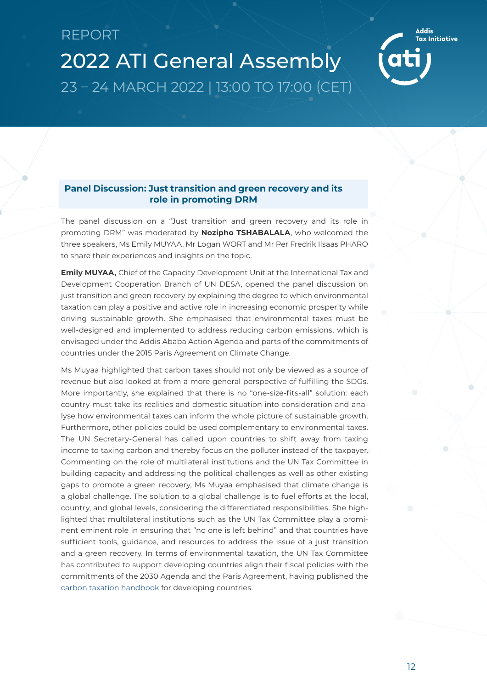<span id="page-13-0"></span>

The panel discussion on a "Just transition and green recovery and its role in promoting DRM" was moderated by **Nozipho TSHABALALA**, who welcomed the three speakers, Ms Emily MUYAA, Mr Logan WORT and Mr Per Fredrik Ilsaas PHARO to share their experiences and insights on the topic.

**Emily MUYAA,** Chief of the Capacity Development Unit at the International Tax and Development Cooperation Branch of UN DESA, opened the panel discussion on just transition and green recovery by explaining the degree to which environmental taxation can play a positive and active role in increasing economic prosperity while driving sustainable growth. She emphasised that environmental taxes must be well-designed and implemented to address reducing carbon emissions, which is envisaged under the Addis Ababa Action Agenda and parts of the commitments of countries under the 2015 Paris Agreement on Climate Change.

Ms Muyaa highlighted that carbon taxes should not only be viewed as a source of revenue but also looked at from a more general perspective of fulfilling the SDGs. More importantly, she explained that there is no "one-size-fits-all" solution: each country must take its realities and domestic situation into consideration and analyse how environmental taxes can inform the whole picture of sustainable growth. Furthermore, other policies could be used complementary to environmental taxes. The UN Secretary-General has called upon countries to shift away from taxing income to taxing carbon and thereby focus on the polluter instead of the taxpayer. Commenting on the role of multilateral institutions and the UN Tax Committee in building capacity and addressing the political challenges as well as other existing gaps to promote a green recovery, Ms Muyaa emphasised that climate change is a global challenge. The solution to a global challenge is to fuel efforts at the local, country, and global levels, considering the differentiated responsibilities. She highlighted that multilateral institutions such as the UN Tax Committee play a prominent eminent role in ensuring that "no one is left behind" and that countries have sufficient tools, guidance, and resources to address the issue of a just transition and a green recovery. In terms of environmental taxation, the UN Tax Committee has contributed to support developing countries align their fiscal policies with the commitments of the 2030 Agenda and the Paris Agreement, having published the [carbon taxation handbook](https://www.un.org/development/desa/financing/sites/www.un.org.development.desa.financing/files/2021-10/Carbon%20Taxation.pdf) for developing countries.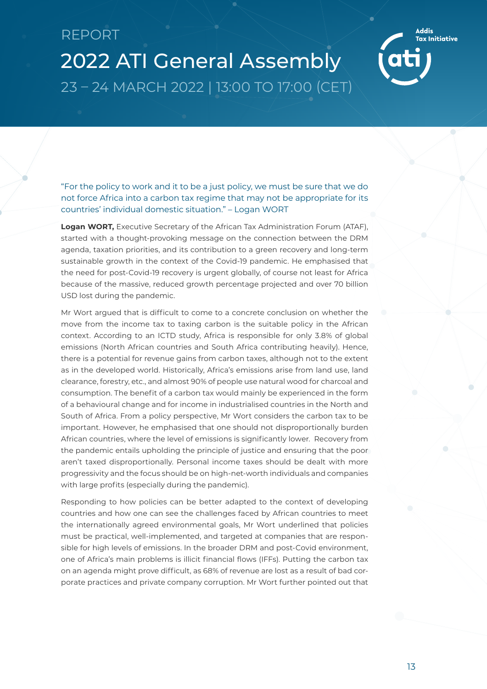2022 ATI General Assembly 23 – 24 MARCH 2022 | 13:00 TO 17:00 (CET)

"For the policy to work and it to be a just policy, we must be sure that we do not force Africa into a carbon tax regime that may not be appropriate for its countries' individual domestic situation." – Logan WORT

**Logan WORT,** Executive Secretary of the African Tax Administration Forum (ATAF), started with a thought-provoking message on the connection between the DRM agenda, taxation priorities, and its contribution to a green recovery and long-term sustainable growth in the context of the Covid-19 pandemic. He emphasised that the need for post-Covid-19 recovery is urgent globally, of course not least for Africa because of the massive, reduced growth percentage projected and over 70 billion USD lost during the pandemic.

Mr Wort argued that is difficult to come to a concrete conclusion on whether the move from the income tax to taxing carbon is the suitable policy in the African context. According to an ICTD study, Africa is responsible for only 3.8% of global emissions (North African countries and South Africa contributing heavily). Hence, there is a potential for revenue gains from carbon taxes, although not to the extent as in the developed world. Historically, Africa's emissions arise from land use, land clearance, forestry, etc., and almost 90% of people use natural wood for charcoal and consumption. The benefit of a carbon tax would mainly be experienced in the form of a behavioural change and for income in industrialised countries in the North and South of Africa. From a policy perspective, Mr Wort considers the carbon tax to be important. However, he emphasised that one should not disproportionally burden African countries, where the level of emissions is significantly lower. Recovery from the pandemic entails upholding the principle of justice and ensuring that the poor aren't taxed disproportionally. Personal income taxes should be dealt with more progressivity and the focus should be on high-net-worth individuals and companies with large profits (especially during the pandemic).

Responding to how policies can be better adapted to the context of developing countries and how one can see the challenges faced by African countries to meet the internationally agreed environmental goals, Mr Wort underlined that policies must be practical, well-implemented, and targeted at companies that are responsible for high levels of emissions. In the broader DRM and post-Covid environment, one of Africa's main problems is illicit financial flows (IFFs). Putting the carbon tax on an agenda might prove difficult, as 68% of revenue are lost as a result of bad corporate practices and private company corruption. Mr Wort further pointed out that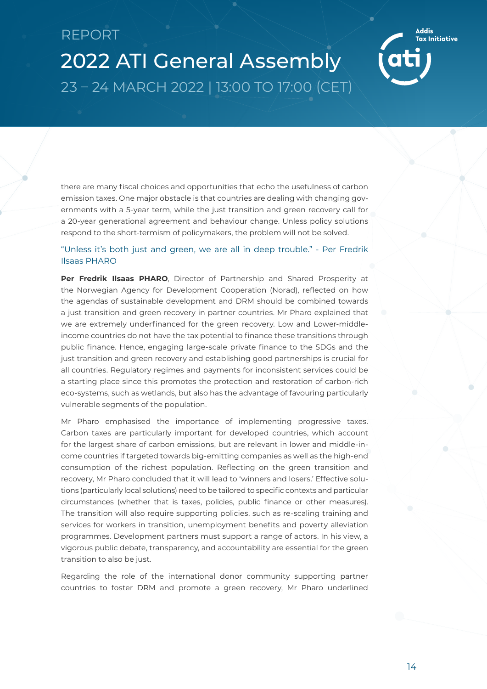2022 ATI General Assembly 23 – 24 MARCH 2022 | 13:00 TO 17:00 (CET)

there are many fiscal choices and opportunities that echo the usefulness of carbon emission taxes. One major obstacle is that countries are dealing with changing governments with a 5-year term, while the just transition and green recovery call for a 20-year generational agreement and behaviour change. Unless policy solutions respond to the short-termism of policymakers, the problem will not be solved.

#### "Unless it's both just and green, we are all in deep trouble." - Per Fredrik Ilsaas PHARO

**Per Fredrik Ilsaas PHARO**, Director of Partnership and Shared Prosperity at the Norwegian Agency for Development Cooperation (Norad), reflected on how the agendas of sustainable development and DRM should be combined towards a just transition and green recovery in partner countries. Mr Pharo explained that we are extremely underfinanced for the green recovery. Low and Lower-middleincome countries do not have the tax potential to finance these transitions through public finance. Hence, engaging large-scale private finance to the SDGs and the just transition and green recovery and establishing good partnerships is crucial for all countries. Regulatory regimes and payments for inconsistent services could be a starting place since this promotes the protection and restoration of carbon-rich eco-systems, such as wetlands, but also has the advantage of favouring particularly vulnerable segments of the population.

Mr Pharo emphasised the importance of implementing progressive taxes. Carbon taxes are particularly important for developed countries, which account for the largest share of carbon emissions, but are relevant in lower and middle-income countries if targeted towards big-emitting companies as well as the high-end consumption of the richest population. Reflecting on the green transition and recovery, Mr Pharo concluded that it will lead to 'winners and losers.' Effective solutions (particularly local solutions) need to be tailored to specific contexts and particular circumstances (whether that is taxes, policies, public finance or other measures). The transition will also require supporting policies, such as re-scaling training and services for workers in transition, unemployment benefits and poverty alleviation programmes. Development partners must support a range of actors. In his view, a vigorous public debate, transparency, and accountability are essential for the green transition to also be just.

Regarding the role of the international donor community supporting partner countries to foster DRM and promote a green recovery, Mr Pharo underlined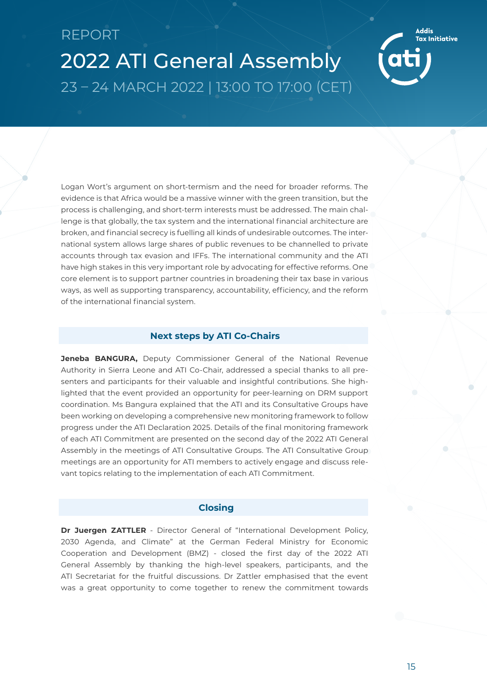<span id="page-16-0"></span>2022 ATI General Assembly 23 – 24 MARCH 2022 | 13:00 TO 17:00 (CET)

Logan Wort's argument on short-termism and the need for broader reforms. The evidence is that Africa would be a massive winner with the green transition, but the process is challenging, and short-term interests must be addressed. The main challenge is that globally, the tax system and the international financial architecture are broken, and financial secrecy is fuelling all kinds of undesirable outcomes. The international system allows large shares of public revenues to be channelled to private accounts through tax evasion and IFFs. The international community and the ATI have high stakes in this very important role by advocating for effective reforms. One core element is to support partner countries in broadening their tax base in various ways, as well as supporting transparency, accountability, efficiency, and the reform of the international financial system.

#### **Next steps by ATI Co-Chairs**

**Jeneba BANGURA,** Deputy Commissioner General of the National Revenue Authority in Sierra Leone and ATI Co-Chair, addressed a special thanks to all presenters and participants for their valuable and insightful contributions. She highlighted that the event provided an opportunity for peer-learning on DRM support coordination. Ms Bangura explained that the ATI and its Consultative Groups have been working on developing a comprehensive new monitoring framework to follow progress under the ATI Declaration 2025. Details of the final monitoring framework of each ATI Commitment are presented on the second day of the 2022 ATI General Assembly in the meetings of ATI Consultative Groups. The ATI Consultative Group meetings are an opportunity for ATI members to actively engage and discuss relevant topics relating to the implementation of each ATI Commitment.

#### **Closing**

**Dr Juergen ZATTLER** - Director General of "International Development Policy, 2030 Agenda, and Climate" at the German Federal Ministry for Economic Cooperation and Development (BMZ) - closed the first day of the 2022 ATI General Assembly by thanking the high-level speakers, participants, and the ATI Secretariat for the fruitful discussions. Dr Zattler emphasised that the event was a great opportunity to come together to renew the commitment towards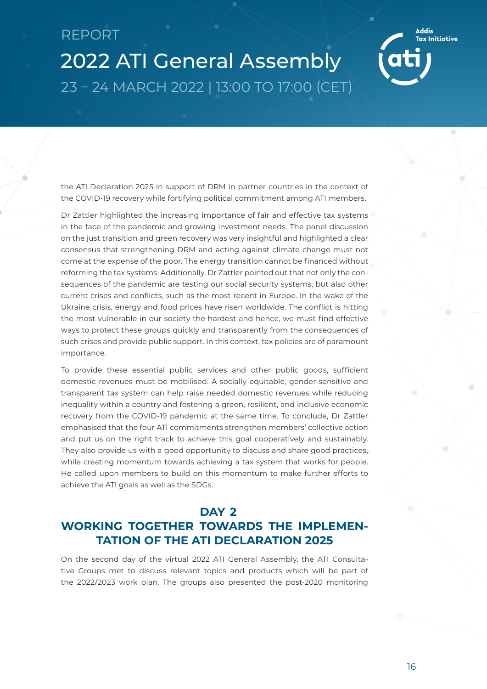2022 ATI General Assembly 23 – 24 MARCH 2022 | 13:00 TO 17:00 (CET)

the ATI Declaration 2025 in support of DRM in partner countries in the context of the COVID-19 recovery while fortifying political commitment among ATI members.

Dr Zattler highlighted the increasing importance of fair and effective tax systems in the face of the pandemic and growing investment needs. The panel discussion on the just transition and green recovery was very insightful and highlighted a clear consensus that strengthening DRM and acting against climate change must not come at the expense of the poor. The energy transition cannot be financed without reforming the tax systems. Additionally, Dr Zattler pointed out that not only the consequences of the pandemic are testing our social security systems, but also other current crises and conflicts, such as the most recent in Europe. In the wake of the Ukraine crisis, energy and food prices have risen worldwide. The conflict is hitting the most vulnerable in our society the hardest and hence, we must find effective ways to protect these groups quickly and transparently from the consequences of such crises and provide public support. In this context, tax policies are of paramount importance.

To provide these essential public services and other public goods, sufficient domestic revenues must be mobilised. A socially equitable, gender-sensitive and transparent tax system can help raise needed domestic revenues while reducing inequality within a country and fostering a green, resilient, and inclusive economic recovery from the COVID-19 pandemic at the same time. To conclude, Dr Zattler emphasised that the four ATI commitments strengthen members' collective action and put us on the right track to achieve this goal cooperatively and sustainably. They also provide us with a good opportunity to discuss and share good practices, while creating momentum towards achieving a tax system that works for people. He called upon members to build on this momentum to make further efforts to achieve the ATI goals as well as the SDGs.

### **DAY 2**

### **WORKING TOGETHER TOWARDS THE IMPLEMEN-TATION OF THE ATI DECLARATION 2025**

On the second day of the virtual 2022 ATI General Assembly, the ATI Consultative Groups met to discuss relevant topics and products which will be part of the 2022/2023 work plan. The groups also presented the post-2020 monitoring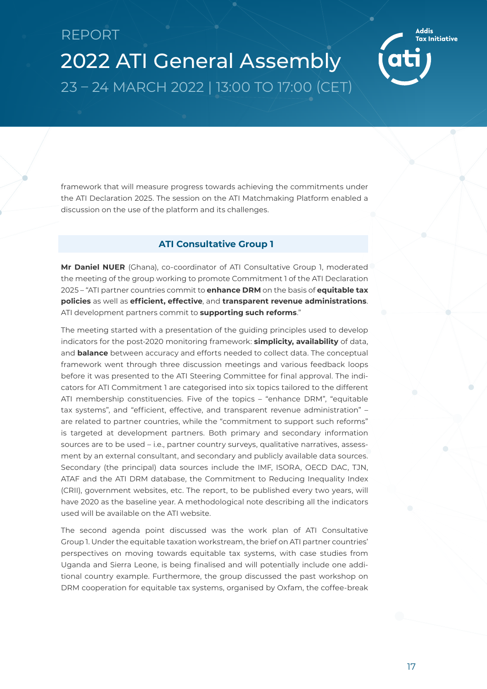<span id="page-18-0"></span>framework that will measure progress towards achieving the commitments under the ATI Declaration 2025. The session on the ATI Matchmaking Platform enabled a discussion on the use of the platform and its challenges.

#### **ATI Consultative Group 1**

**Mr Daniel NUER** (Ghana), co-coordinator of ATI Consultative Group 1, moderated the meeting of the group working to promote Commitment 1 of the ATI Declaration 2025 – "ATI partner countries commit to **enhance DRM** on the basis of **equitable tax policies** as well as **efficient, effective**, and **transparent revenue administrations**. ATI development partners commit to **supporting such reforms**."

The meeting started with a presentation of the guiding principles used to develop indicators for the post-2020 monitoring framework: **simplicity, availability** of data, and **balance** between accuracy and efforts needed to collect data. The conceptual framework went through three discussion meetings and various feedback loops before it was presented to the ATI Steering Committee for final approval. The indicators for ATI Commitment 1 are categorised into six topics tailored to the different ATI membership constituencies. Five of the topics – "enhance DRM", "equitable tax systems", and "efficient, effective, and transparent revenue administration" – are related to partner countries, while the "commitment to support such reforms" is targeted at development partners. Both primary and secondary information sources are to be used – i.e., partner country surveys, qualitative narratives, assessment by an external consultant, and secondary and publicly available data sources. Secondary (the principal) data sources include the IMF, ISORA, OECD DAC, TJN, ATAF and the ATI DRM database, the Commitment to Reducing Inequality Index (CRII), government websites, etc. The report, to be published every two years, will have 2020 as the baseline year. A methodological note describing all the indicators used will be available on the ATI website.

The second agenda point discussed was the work plan of ATI Consultative Group 1. Under the equitable taxation workstream, the brief on ATI partner countries' perspectives on moving towards equitable tax systems, with case studies from Uganda and Sierra Leone, is being finalised and will potentially include one additional country example. Furthermore, the group discussed the past workshop on DRM cooperation for equitable tax systems, organised by Oxfam, the coffee-break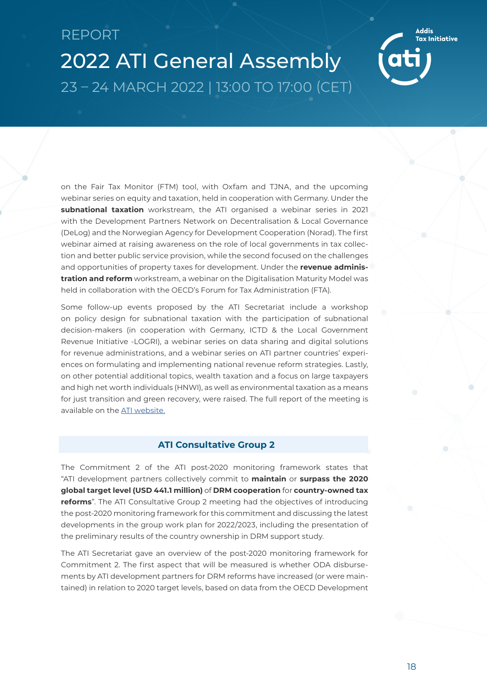<span id="page-19-0"></span>2022 ATI General Assembly 23 – 24 MARCH 2022 | 13:00 TO 17:00 (CET)

on the Fair Tax Monitor (FTM) tool, with Oxfam and TJNA, and the upcoming webinar series on equity and taxation, held in cooperation with Germany. Under the **subnational taxation** workstream, the ATI organised a webinar series in 2021 with the Development Partners Network on Decentralisation & Local Governance (DeLog) and the Norwegian Agency for Development Cooperation (Norad). The first webinar aimed at raising awareness on the role of local governments in tax collection and better public service provision, while the second focused on the challenges and opportunities of property taxes for development. Under the **revenue administration and reform** workstream, a webinar on the Digitalisation Maturity Model was held in collaboration with the OECD's Forum for Tax Administration (FTA).

Some follow-up events proposed by the ATI Secretariat include a workshop on policy design for subnational taxation with the participation of subnational decision-makers (in cooperation with Germany, ICTD & the Local Government Revenue Initiative -LOGRI), a webinar series on data sharing and digital solutions for revenue administrations, and a webinar series on ATI partner countries' experiences on formulating and implementing national revenue reform strategies. Lastly, on other potential additional topics, wealth taxation and a focus on large taxpayers and high net worth individuals (HNWI), as well as environmental taxation as a means for just transition and green recovery, were raised. The full report of the meeting is available on the [ATI website.](https://www.addistaxinitiative.net/resource/minutes-4th-meeting-consultative-group-1)

#### **ATI Consultative Group 2**

The Commitment 2 of the ATI post-2020 monitoring framework states that "ATI development partners collectively commit to **maintain** or **surpass the 2020 global target level (USD 441.1 million)** of **DRM cooperation** for **country-owned tax reforms**". The ATI Consultative Group 2 meeting had the objectives of introducing the post-2020 monitoring framework for this commitment and discussing the latest developments in the group work plan for 2022/2023, including the presentation of the preliminary results of the country ownership in DRM support study.

The ATI Secretariat gave an overview of the post-2020 monitoring framework for Commitment 2. The first aspect that will be measured is whether ODA disbursements by ATI development partners for DRM reforms have increased (or were maintained) in relation to 2020 target levels, based on data from the OECD Development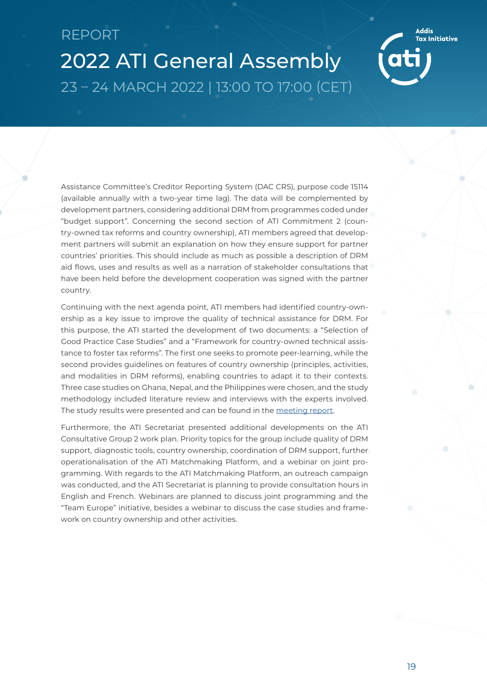2022 ATI General Assembly 23 – 24 MARCH 2022 | 13:00 TO 17:00 (CET)

Assistance Committee's Creditor Reporting System (DAC CRS), purpose code 15114 (available annually with a two-year time lag). The data will be complemented by development partners, considering additional DRM from programmes coded under "budget support". Concerning the second section of ATI Commitment 2 (country-owned tax reforms and country ownership), ATI members agreed that development partners will submit an explanation on how they ensure support for partner countries' priorities. This should include as much as possible a description of DRM aid flows, uses and results as well as a narration of stakeholder consultations that have been held before the development cooperation was signed with the partner country.

Continuing with the next agenda point, ATI members had identified country-ownership as a key issue to improve the quality of technical assistance for DRM. For this purpose, the ATI started the development of two documents: a "Selection of Good Practice Case Studies" and a "Framework for country-owned technical assistance to foster tax reforms". The first one seeks to promote peer-learning, while the second provides guidelines on features of country ownership (principles, activities, and modalities in DRM reforms), enabling countries to adapt it to their contexts. Three case studies on Ghana, Nepal, and the Philippines were chosen, and the study methodology included literature review and interviews with the experts involved. The study results were presented and can be found in the [meeting report](https://www.addistaxinitiative.net/resource/minutes-4th-meeting-ati-consultative-group-2).

Furthermore, the ATI Secretariat presented additional developments on the ATI Consultative Group 2 work plan. Priority topics for the group include quality of DRM support, diagnostic tools, country ownership, coordination of DRM support, further operationalisation of the ATI Matchmaking Platform, and a webinar on joint programming. With regards to the ATI Matchmaking Platform, an outreach campaign was conducted, and the ATI Secretariat is planning to provide consultation hours in English and French. Webinars are planned to discuss joint programming and the "Team Europe" initiative, besides a webinar to discuss the case studies and framework on country ownership and other activities.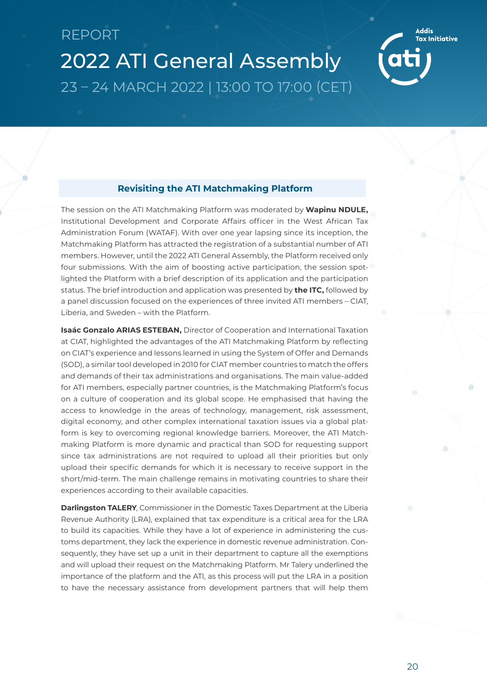# <span id="page-21-0"></span>REPORT 2022 ATI General Assembly



### **Revisiting the ATI Matchmaking Platform**

23 – 24 MARCH 2022 | 13:00 TO 17:00 (CET)

The session on the ATI Matchmaking Platform was moderated by **Wapinu NDULE,**  Institutional Development and Corporate Affairs officer in the West African Tax Administration Forum (WATAF). With over one year lapsing since its inception, the Matchmaking Platform has attracted the registration of a substantial number of ATI members. However, until the 2022 ATI General Assembly, the Platform received only four submissions. With the aim of boosting active participation, the session spotlighted the Platform with a brief description of its application and the participation status. The brief introduction and application was presented by **the ITC,** followed by a panel discussion focused on the experiences of three invited ATI members – CIAT, Liberia, and Sweden – with the Platform.

**Isaác Gonzalo ARIAS ESTEBAN,** Director of Cooperation and International Taxation at CIAT, highlighted the advantages of the ATI Matchmaking Platform by reflecting on CIAT's experience and lessons learned in using the System of Offer and Demands (SOD), a similar tool developed in 2010 for CIAT member countries to match the offers and demands of their tax administrations and organisations. The main value-added for ATI members, especially partner countries, is the Matchmaking Platform's focus on a culture of cooperation and its global scope. He emphasised that having the access to knowledge in the areas of technology, management, risk assessment, digital economy, and other complex international taxation issues via a global platform is key to overcoming regional knowledge barriers. Moreover, the ATI Matchmaking Platform is more dynamic and practical than SOD for requesting support since tax administrations are not required to upload all their priorities but only upload their specific demands for which it is necessary to receive support in the short/mid-term. The main challenge remains in motivating countries to share their experiences according to their available capacities.

**Darlingston TALERY**, Commissioner in the Domestic Taxes Department at the Liberia Revenue Authority (LRA), explained that tax expenditure is a critical area for the LRA to build its capacities. While they have a lot of experience in administering the customs department, they lack the experience in domestic revenue administration. Consequently, they have set up a unit in their department to capture all the exemptions and will upload their request on the Matchmaking Platform. Mr Talery underlined the importance of the platform and the ATI, as this process will put the LRA in a position to have the necessary assistance from development partners that will help them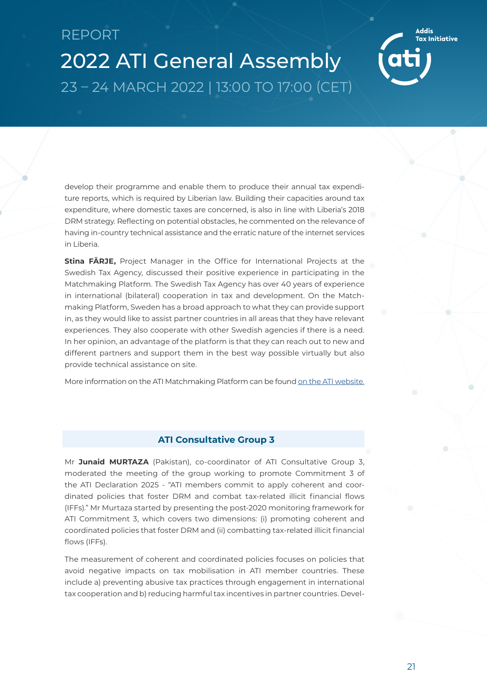<span id="page-22-0"></span>2022 ATI General Assembly 23 – 24 MARCH 2022 | 13:00 TO 17:00 (CET)

develop their programme and enable them to produce their annual tax expenditure reports, which is required by Liberian law. Building their capacities around tax expenditure, where domestic taxes are concerned, is also in line with Liberia's 2018 DRM strategy. Reflecting on potential obstacles, he commented on the relevance of having in-country technical assistance and the erratic nature of the internet services in Liberia.

**Stina FÄRJE,** Project Manager in the Office for International Projects at the Swedish Tax Agency, discussed their positive experience in participating in the Matchmaking Platform. The Swedish Tax Agency has over 40 years of experience in international (bilateral) cooperation in tax and development. On the Matchmaking Platform, Sweden has a broad approach to what they can provide support in, as they would like to assist partner countries in all areas that they have relevant experiences. They also cooperate with other Swedish agencies if there is a need. In her opinion, an advantage of the platform is that they can reach out to new and different partners and support them in the best way possible virtually but also provide technical assistance on site.

More information on the ATI Matchmaking Platform can be found [on the ATI website.](https://www.addistaxinitiative.net/ati-matchmaking-platform)

### **ATI Consultative Group 3**

Mr **Junaid MURTAZA** (Pakistan), co-coordinator of ATI Consultative Group 3, moderated the meeting of the group working to promote Commitment 3 of the ATI Declaration 2025 - "ATI members commit to apply coherent and coordinated policies that foster DRM and combat tax-related illicit financial flows (IFFs)." Mr Murtaza started by presenting the post-2020 monitoring framework for ATI Commitment 3, which covers two dimensions: (i) promoting coherent and coordinated policies that foster DRM and (ii) combatting tax-related illicit financial flows (IFFs).

The measurement of coherent and coordinated policies focuses on policies that avoid negative impacts on tax mobilisation in ATI member countries. These include a) preventing abusive tax practices through engagement in international tax cooperation and b) reducing harmful tax incentives in partner countries. Devel-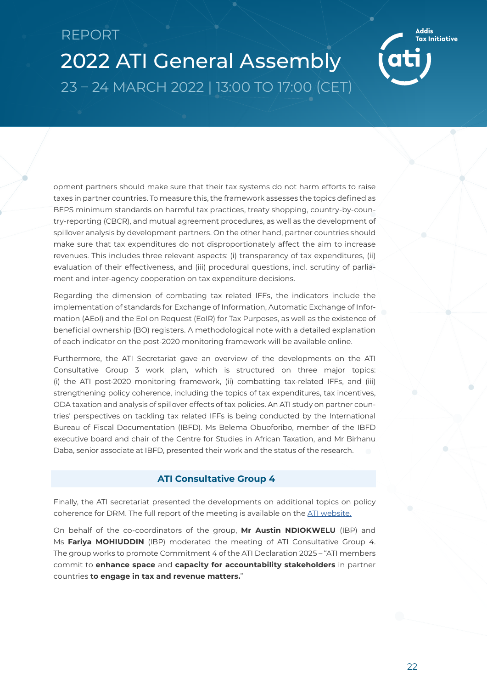<span id="page-23-0"></span>2022 ATI General Assembly 23 – 24 MARCH 2022 | 13:00 TO 17:00 (CET)

opment partners should make sure that their tax systems do not harm efforts to raise taxes in partner countries. To measure this, the framework assesses the topics defined as BEPS minimum standards on harmful tax practices, treaty shopping, country-by-country-reporting (CBCR), and mutual agreement procedures, as well as the development of spillover analysis by development partners. On the other hand, partner countries should make sure that tax expenditures do not disproportionately affect the aim to increase revenues. This includes three relevant aspects: (i) transparency of tax expenditures, (ii) evaluation of their effectiveness, and (iii) procedural questions, incl. scrutiny of parliament and inter-agency cooperation on tax expenditure decisions.

Regarding the dimension of combating tax related IFFs, the indicators include the implementation of standards for Exchange of Information, Automatic Exchange of Information (AEoI) and the EoI on Request (EoIR) for Tax Purposes, as well as the existence of beneficial ownership (BO) registers. A methodological note with a detailed explanation of each indicator on the post-2020 monitoring framework will be available online.

Furthermore, the ATI Secretariat gave an overview of the developments on the ATI Consultative Group 3 work plan, which is structured on three major topics: (i) the ATI post-2020 monitoring framework, (ii) combatting tax-related IFFs, and (iii) strengthening policy coherence, including the topics of tax expenditures, tax incentives, ODA taxation and analysis of spillover effects of tax policies. An ATI study on partner countries' perspectives on tackling tax related IFFs is being conducted by the International Bureau of Fiscal Documentation (IBFD). Ms Belema Obuoforibo, member of the IBFD executive board and chair of the Centre for Studies in African Taxation, and Mr Birhanu Daba, senior associate at IBFD, presented their work and the status of the research.

#### **ATI Consultative Group 4**

Finally, the ATI secretariat presented the developments on additional topics on policy coherence for DRM. The full report of the meeting is available on the [ATI website.](https://www.addistaxinitiative.net/resource/ati-consultative-group-3-meeting-minutes-2)

On behalf of the co-coordinators of the group, **Mr Austin NDIOKWELU** (IBP) and Ms **Fariya MOHIUDDIN** (IBP) moderated the meeting of ATI Consultative Group 4. The group works to promote Commitment 4 of the ATI Declaration 2025 – "ATI members commit to **enhance space** and **capacity for accountability stakeholders** in partner countries **to engage in tax and revenue matters.**"